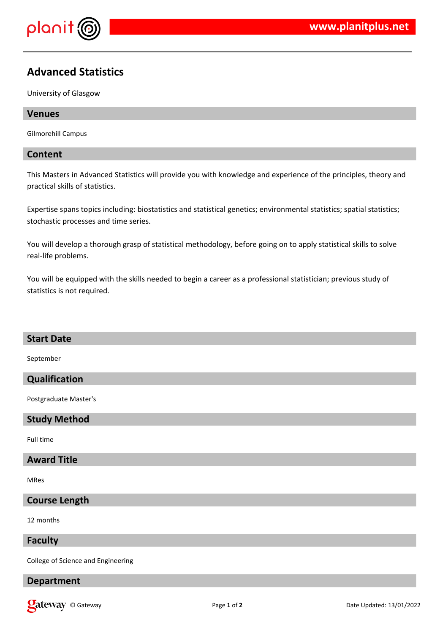

# **Advanced Statistics**

University of Glasgow

## **Venues**

Gilmorehill Campus

## **Content**

This Masters in Advanced Statistics will provide you with knowledge and experience of the principles, theory and practical skills of statistics.

Expertise spans topics including: biostatistics and statistical genetics; environmental statistics; spatial statistics; stochastic processes and time series.

You will develop a thorough grasp of statistical methodology, before going on to apply statistical skills to solve real-life problems.

You will be equipped with the skills needed to begin a career as a professional statistician; previous study of statistics is not required.

#### **Start Date**

September

## **Qualification**

Postgraduate Master's

#### **Study Method**

Full time

## **Award Title**

MRes

# **Course Length**

12 months

#### **Faculty**

College of Science and Engineering

# **Department**

**Qateway** © Gateway **Page 1** of 2 **Date Updated: 13/01/2022** Date Updated: 13/01/2022